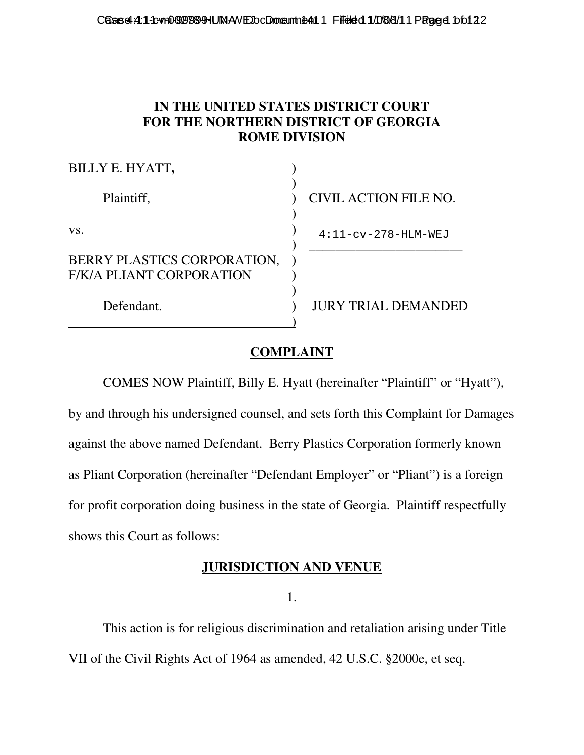## **IN THE UNITED STATES DISTRICT COURT FOR THE NORTHERN DISTRICT OF GEORGIA ROME DIVISION**

| BILLY E. HYATT,                                         |                            |
|---------------------------------------------------------|----------------------------|
| Plaintiff,                                              | CIVIL ACTION FILE NO.      |
| VS.                                                     | $4:11-cv-278-HLM-WEJ$      |
| BERRY PLASTICS CORPORATION,<br>F/K/A PLIANT CORPORATION |                            |
| Defendant.                                              | <b>JURY TRIAL DEMANDED</b> |

# **COMPLAINT**

 COMES NOW Plaintiff, Billy E. Hyatt (hereinafter "Plaintiff" or "Hyatt"), by and through his undersigned counsel, and sets forth this Complaint for Damages against the above named Defendant. Berry Plastics Corporation formerly known as Pliant Corporation (hereinafter "Defendant Employer" or "Pliant") is a foreign for profit corporation doing business in the state of Georgia. Plaintiff respectfully shows this Court as follows:

## **JURISDICTION AND VENUE**

1.

 This action is for religious discrimination and retaliation arising under Title VII of the Civil Rights Act of 1964 as amended, 42 U.S.C. §2000e, et seq.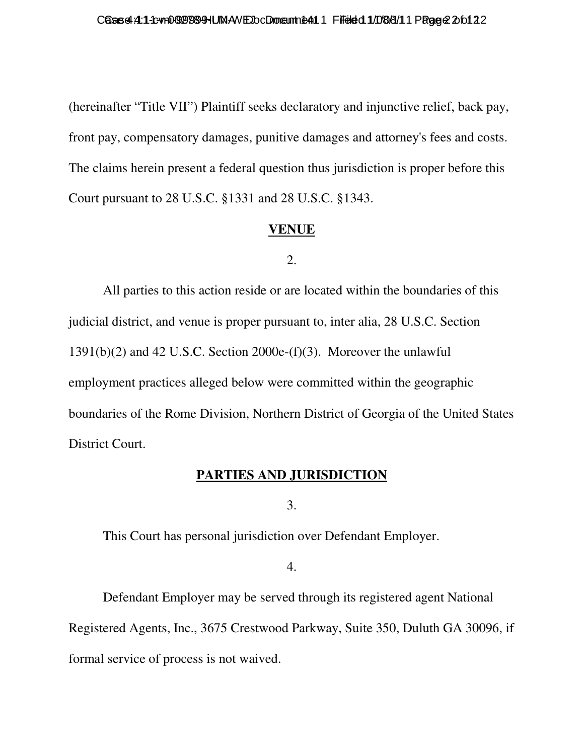(hereinafter "Title VII") Plaintiff seeks declaratory and injunctive relief, back pay, front pay, compensatory damages, punitive damages and attorney's fees and costs. The claims herein present a federal question thus jurisdiction is proper before this Court pursuant to 28 U.S.C. §1331 and 28 U.S.C. §1343.

### **VENUE**

#### 2.

 All parties to this action reside or are located within the boundaries of this judicial district, and venue is proper pursuant to, inter alia, 28 U.S.C. Section 1391(b)(2) and 42 U.S.C. Section 2000e-(f)(3). Moreover the unlawful employment practices alleged below were committed within the geographic boundaries of the Rome Division, Northern District of Georgia of the United States District Court.

# **PARTIES AND JURISDICTION**

3.

This Court has personal jurisdiction over Defendant Employer.

4.

 Defendant Employer may be served through its registered agent National Registered Agents, Inc., 3675 Crestwood Parkway, Suite 350, Duluth GA 30096, if formal service of process is not waived.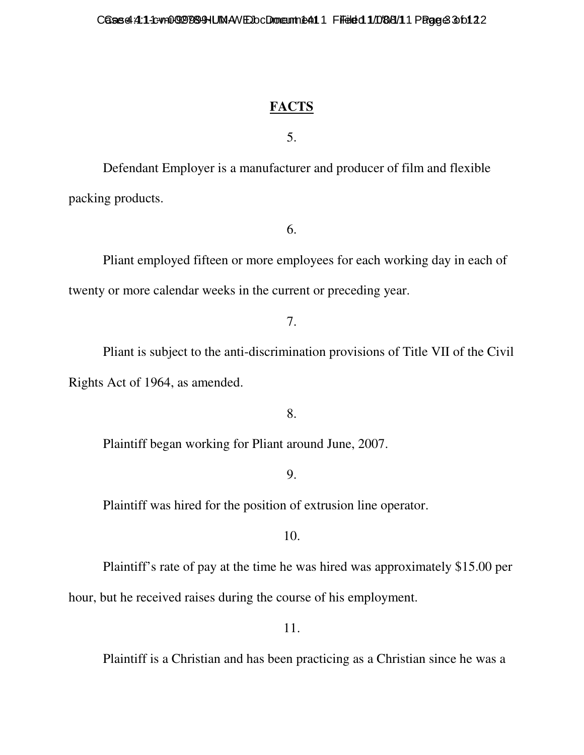## **FACTS**

5.

 Defendant Employer is a manufacturer and producer of film and flexible packing products.

6.

 Pliant employed fifteen or more employees for each working day in each of twenty or more calendar weeks in the current or preceding year.

7.

 Pliant is subject to the anti-discrimination provisions of Title VII of the Civil Rights Act of 1964, as amended.

8.

Plaintiff began working for Pliant around June, 2007.

9.

Plaintiff was hired for the position of extrusion line operator.

10.

Plaintiff's rate of pay at the time he was hired was approximately \$15.00 per

hour, but he received raises during the course of his employment.

11.

Plaintiff is a Christian and has been practicing as a Christian since he was a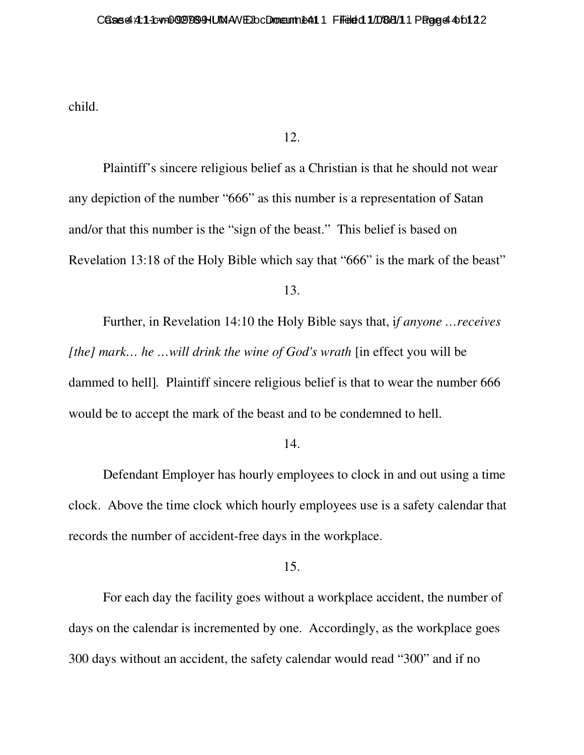child.

#### 12.

 Plaintiff's sincere religious belief as a Christian is that he should not wear any depiction of the number "666" as this number is a representation of Satan and/or that this number is the "sign of the beast." This belief is based on Revelation 13:18 of the Holy Bible which say that "666" is the mark of the beast"

13.

 Further, in Revelation 14:10 the Holy Bible says that, i*f anyone …receives [the] mark… he …will drink the wine of God's wrath* [in effect you will be dammed to hell]*.* Plaintiff sincere religious belief is that to wear the number 666 would be to accept the mark of the beast and to be condemned to hell.

#### 14.

 Defendant Employer has hourly employees to clock in and out using a time clock. Above the time clock which hourly employees use is a safety calendar that records the number of accident-free days in the workplace.

#### 15.

 For each day the facility goes without a workplace accident, the number of days on the calendar is incremented by one. Accordingly, as the workplace goes 300 days without an accident, the safety calendar would read "300" and if no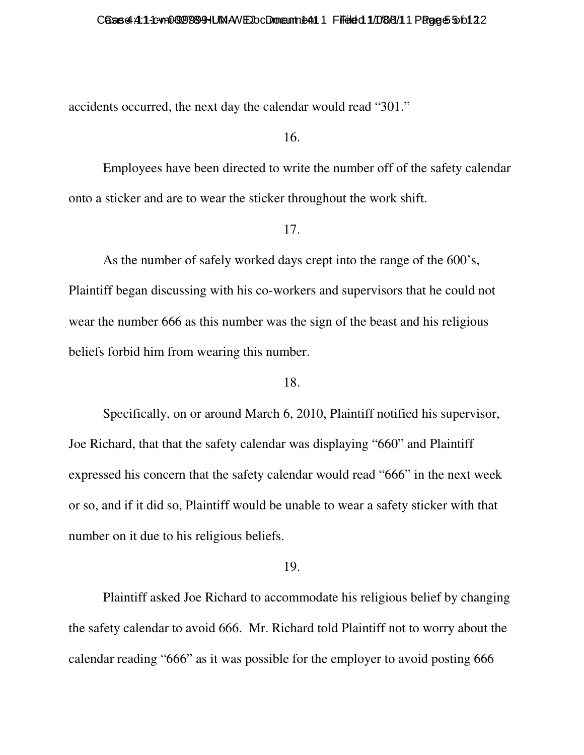accidents occurred, the next day the calendar would read "301."

16.

 Employees have been directed to write the number off of the safety calendar onto a sticker and are to wear the sticker throughout the work shift.

#### 17.

 As the number of safely worked days crept into the range of the 600's, Plaintiff began discussing with his co-workers and supervisors that he could not wear the number 666 as this number was the sign of the beast and his religious beliefs forbid him from wearing this number.

#### 18.

 Specifically, on or around March 6, 2010, Plaintiff notified his supervisor, Joe Richard, that that the safety calendar was displaying "660" and Plaintiff expressed his concern that the safety calendar would read "666" in the next week or so, and if it did so, Plaintiff would be unable to wear a safety sticker with that number on it due to his religious beliefs.

### 19.

 Plaintiff asked Joe Richard to accommodate his religious belief by changing the safety calendar to avoid 666. Mr. Richard told Plaintiff not to worry about the calendar reading "666" as it was possible for the employer to avoid posting 666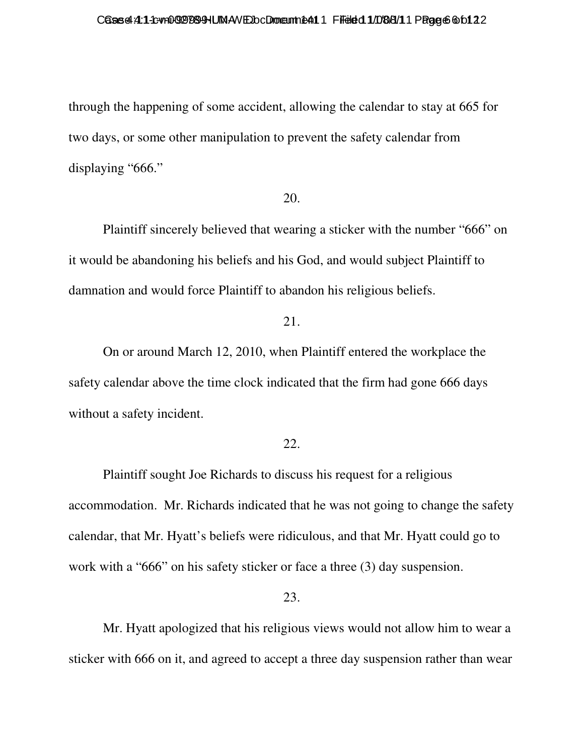through the happening of some accident, allowing the calendar to stay at 665 for two days, or some other manipulation to prevent the safety calendar from displaying "666."

#### 20.

 Plaintiff sincerely believed that wearing a sticker with the number "666" on it would be abandoning his beliefs and his God, and would subject Plaintiff to damnation and would force Plaintiff to abandon his religious beliefs.

## 21.

 On or around March 12, 2010, when Plaintiff entered the workplace the safety calendar above the time clock indicated that the firm had gone 666 days without a safety incident.

#### 22.

 Plaintiff sought Joe Richards to discuss his request for a religious accommodation. Mr. Richards indicated that he was not going to change the safety calendar, that Mr. Hyatt's beliefs were ridiculous, and that Mr. Hyatt could go to work with a "666" on his safety sticker or face a three (3) day suspension.

#### 23.

 Mr. Hyatt apologized that his religious views would not allow him to wear a sticker with 666 on it, and agreed to accept a three day suspension rather than wear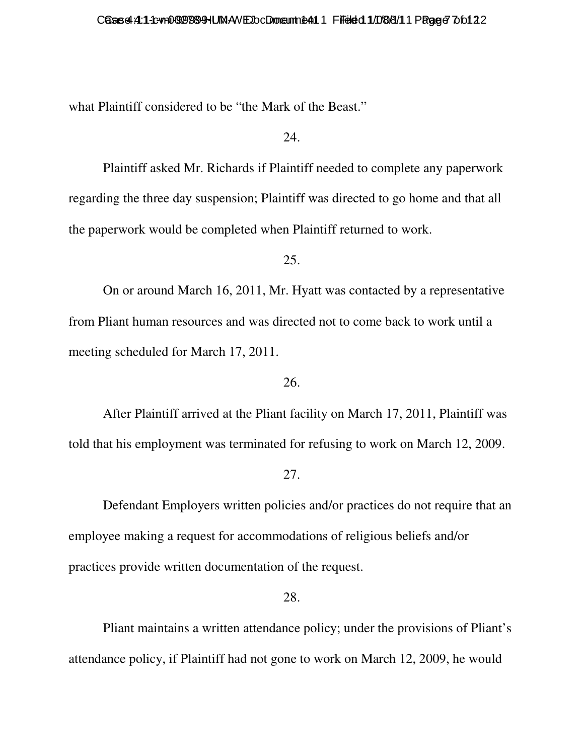what Plaintiff considered to be "the Mark of the Beast."

#### 24.

 Plaintiff asked Mr. Richards if Plaintiff needed to complete any paperwork regarding the three day suspension; Plaintiff was directed to go home and that all the paperwork would be completed when Plaintiff returned to work.

#### 25.

 On or around March 16, 2011, Mr. Hyatt was contacted by a representative from Pliant human resources and was directed not to come back to work until a meeting scheduled for March 17, 2011.

### 26.

 After Plaintiff arrived at the Pliant facility on March 17, 2011, Plaintiff was told that his employment was terminated for refusing to work on March 12, 2009.

#### 27.

 Defendant Employers written policies and/or practices do not require that an employee making a request for accommodations of religious beliefs and/or practices provide written documentation of the request.

#### 28.

 Pliant maintains a written attendance policy; under the provisions of Pliant's attendance policy, if Plaintiff had not gone to work on March 12, 2009, he would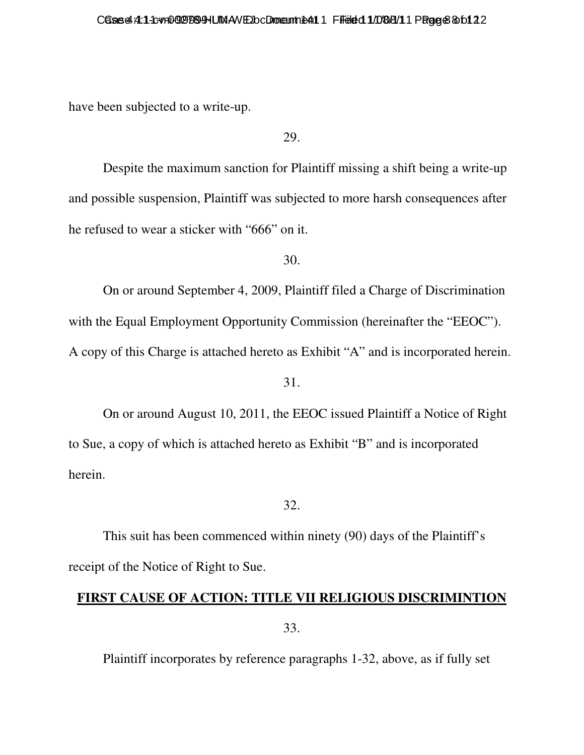have been subjected to a write-up.

29.

 Despite the maximum sanction for Plaintiff missing a shift being a write-up and possible suspension, Plaintiff was subjected to more harsh consequences after he refused to wear a sticker with "666" on it.

30.

 On or around September 4, 2009, Plaintiff filed a Charge of Discrimination with the Equal Employment Opportunity Commission (hereinafter the "EEOC"). A copy of this Charge is attached hereto as Exhibit "A" and is incorporated herein.

31.

 On or around August 10, 2011, the EEOC issued Plaintiff a Notice of Right to Sue, a copy of which is attached hereto as Exhibit "B" and is incorporated herein.

32.

 This suit has been commenced within ninety (90) days of the Plaintiff's receipt of the Notice of Right to Sue.

## **FIRST CAUSE OF ACTION: TITLE VII RELIGIOUS DISCRIMINTION**

33.

Plaintiff incorporates by reference paragraphs 1-32, above, as if fully set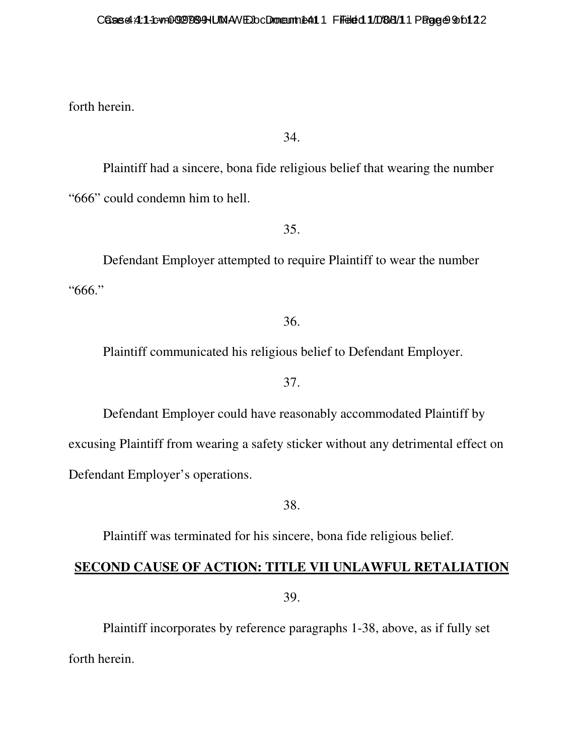forth herein.

34.

 Plaintiff had a sincere, bona fide religious belief that wearing the number "666" could condemn him to hell.

35.

 Defendant Employer attempted to require Plaintiff to wear the number "666."

### 36.

Plaintiff communicated his religious belief to Defendant Employer.

### 37.

 Defendant Employer could have reasonably accommodated Plaintiff by excusing Plaintiff from wearing a safety sticker without any detrimental effect on Defendant Employer's operations.

38.

Plaintiff was terminated for his sincere, bona fide religious belief.

# **SECOND CAUSE OF ACTION: TITLE VII UNLAWFUL RETALIATION**

39.

 Plaintiff incorporates by reference paragraphs 1-38, above, as if fully set forth herein.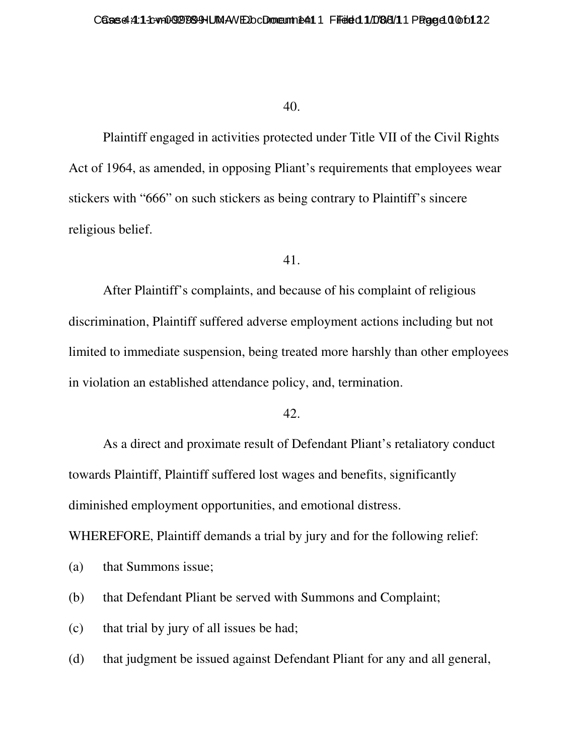#### 40.

 Plaintiff engaged in activities protected under Title VII of the Civil Rights Act of 1964, as amended, in opposing Pliant's requirements that employees wear stickers with "666" on such stickers as being contrary to Plaintiff's sincere religious belief.

#### 41.

 After Plaintiff's complaints, and because of his complaint of religious discrimination, Plaintiff suffered adverse employment actions including but not limited to immediate suspension, being treated more harshly than other employees in violation an established attendance policy, and, termination.

### 42.

 As a direct and proximate result of Defendant Pliant's retaliatory conduct towards Plaintiff, Plaintiff suffered lost wages and benefits, significantly diminished employment opportunities, and emotional distress.

WHEREFORE, Plaintiff demands a trial by jury and for the following relief:

(a) that Summons issue;

(b) that Defendant Pliant be served with Summons and Complaint;

(c) that trial by jury of all issues be had;

(d) that judgment be issued against Defendant Pliant for any and all general,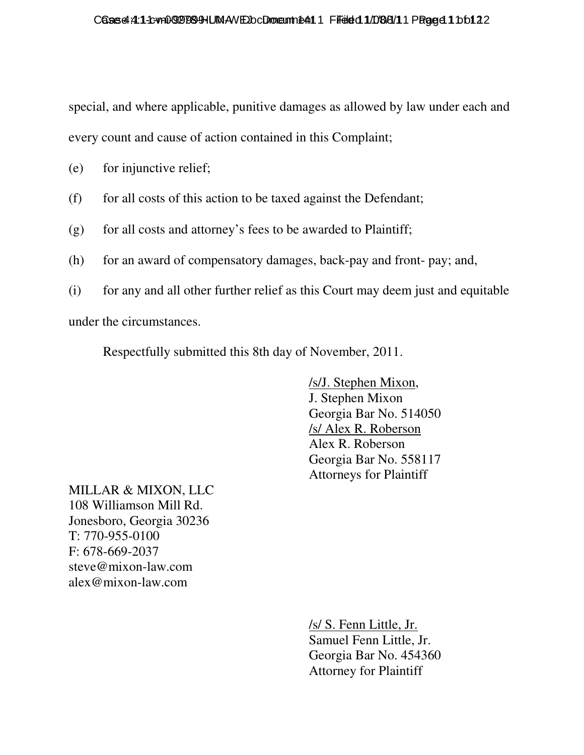special, and where applicable, punitive damages as allowed by law under each and every count and cause of action contained in this Complaint;

- (e) for injunctive relief;
- (f) for all costs of this action to be taxed against the Defendant;
- $(g)$  for all costs and attorney's fees to be awarded to Plaintiff;
- (h) for an award of compensatory damages, back-pay and front- pay; and,
- (i) for any and all other further relief as this Court may deem just and equitable

under the circumstances.

Respectfully submitted this 8th day of November, 2011.

 /s/J. Stephen Mixon, J. Stephen Mixon Georgia Bar No. 514050 /s/ Alex R. Roberson Alex R. Roberson Georgia Bar No. 558117 Attorneys for Plaintiff

MILLAR & MIXON, LLC 108 Williamson Mill Rd. Jonesboro, Georgia 30236 T: 770-955-0100 F: 678-669-2037 steve@mixon-law.com alex@mixon-law.com

> /s/ S. Fenn Little, Jr. Samuel Fenn Little, Jr. Georgia Bar No. 454360 Attorney for Plaintiff